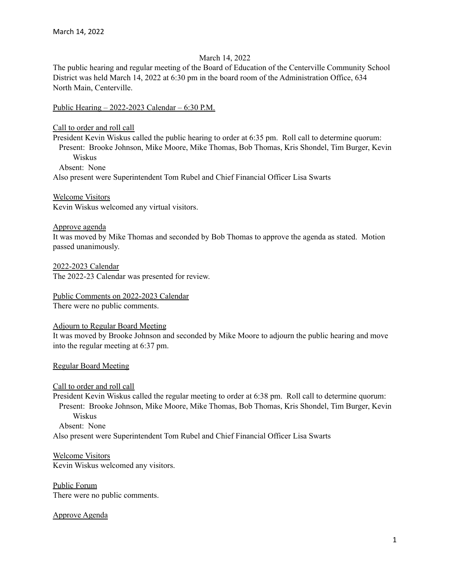# March 14, 2022

The public hearing and regular meeting of the Board of Education of the Centerville Community School District was held March 14, 2022 at 6:30 pm in the board room of the Administration Office, 634 North Main, Centerville.

Public Hearing – 2022-2023 Calendar – 6:30 P.M.

Call to order and roll call

President Kevin Wiskus called the public hearing to order at 6:35 pm. Roll call to determine quorum: Present: Brooke Johnson, Mike Moore, Mike Thomas, Bob Thomas, Kris Shondel, Tim Burger, Kevin Wiskus

Absent: None

Also present were Superintendent Tom Rubel and Chief Financial Officer Lisa Swarts

Welcome Visitors

Kevin Wiskus welcomed any virtual visitors.

Approve agenda

It was moved by Mike Thomas and seconded by Bob Thomas to approve the agenda as stated. Motion passed unanimously.

2022-2023 Calendar The 2022-23 Calendar was presented for review.

Public Comments on 2022-2023 Calendar There were no public comments.

Adjourn to Regular Board Meeting

It was moved by Brooke Johnson and seconded by Mike Moore to adjourn the public hearing and move into the regular meeting at 6:37 pm.

Regular Board Meeting

Call to order and roll call

President Kevin Wiskus called the regular meeting to order at 6:38 pm. Roll call to determine quorum: Present: Brooke Johnson, Mike Moore, Mike Thomas, Bob Thomas, Kris Shondel, Tim Burger, Kevin Wiskus Absent: None

Also present were Superintendent Tom Rubel and Chief Financial Officer Lisa Swarts

Welcome Visitors Kevin Wiskus welcomed any visitors.

Public Forum There were no public comments.

Approve Agenda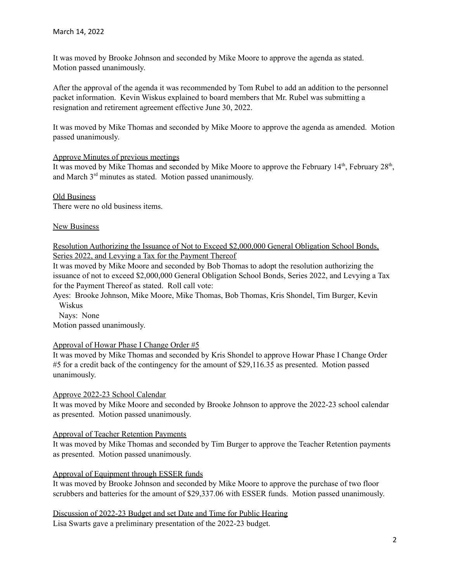It was moved by Brooke Johnson and seconded by Mike Moore to approve the agenda as stated. Motion passed unanimously.

After the approval of the agenda it was recommended by Tom Rubel to add an addition to the personnel packet information. Kevin Wiskus explained to board members that Mr. Rubel was submitting a resignation and retirement agreement effective June 30, 2022.

It was moved by Mike Thomas and seconded by Mike Moore to approve the agenda as amended. Motion passed unanimously.

## Approve Minutes of previous meetings

It was moved by Mike Thomas and seconded by Mike Moore to approve the February  $14<sup>th</sup>$ , February  $28<sup>th</sup>$ , and March 3<sup>rd</sup> minutes as stated. Motion passed unanimously.

Old Business There were no old business items.

#### **New Business**

Resolution Authorizing the Issuance of Not to Exceed \$2,000,000 General Obligation School Bonds, Series 2022, and Levying a Tax for the Payment Thereof

It was moved by Mike Moore and seconded by Bob Thomas to adopt the resolution authorizing the issuance of not to exceed \$2,000,000 General Obligation School Bonds, Series 2022, and Levying a Tax for the Payment Thereof as stated. Roll call vote:

Ayes: Brooke Johnson, Mike Moore, Mike Thomas, Bob Thomas, Kris Shondel, Tim Burger, Kevin Wiskus

Nays: None

Motion passed unanimously.

## Approval of Howar Phase I Change Order #5

It was moved by Mike Thomas and seconded by Kris Shondel to approve Howar Phase I Change Order #5 for a credit back of the contingency for the amount of \$29,116.35 as presented. Motion passed unanimously.

Approve 2022-23 School Calendar

It was moved by Mike Moore and seconded by Brooke Johnson to approve the 2022-23 school calendar as presented. Motion passed unanimously.

## Approval of Teacher Retention Payments

It was moved by Mike Thomas and seconded by Tim Burger to approve the Teacher Retention payments as presented. Motion passed unanimously.

## Approval of Equipment through ESSER funds

It was moved by Brooke Johnson and seconded by Mike Moore to approve the purchase of two floor scrubbers and batteries for the amount of \$29,337.06 with ESSER funds. Motion passed unanimously.

Discussion of 2022-23 Budget and set Date and Time for Public Hearing Lisa Swarts gave a preliminary presentation of the 2022-23 budget.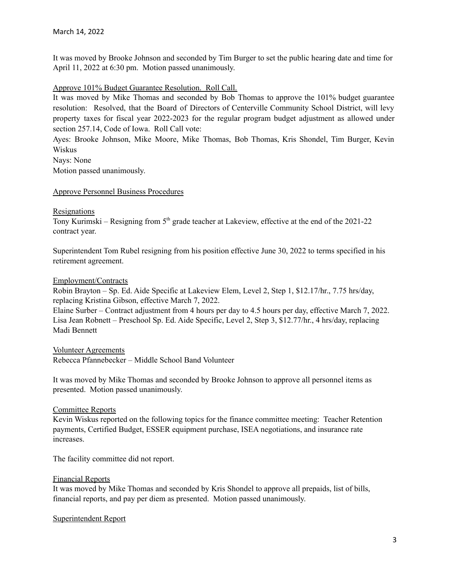It was moved by Brooke Johnson and seconded by Tim Burger to set the public hearing date and time for April 11, 2022 at 6:30 pm. Motion passed unanimously.

# Approve 101% Budget Guarantee Resolution. Roll Call.

It was moved by Mike Thomas and seconded by Bob Thomas to approve the 101% budget guarantee resolution: Resolved, that the Board of Directors of Centerville Community School District, will levy property taxes for fiscal year 2022-2023 for the regular program budget adjustment as allowed under section 257.14, Code of Iowa. Roll Call vote:

Ayes: Brooke Johnson, Mike Moore, Mike Thomas, Bob Thomas, Kris Shondel, Tim Burger, Kevin Wiskus

Nays: None Motion passed unanimously.

## Approve Personnel Business Procedures

#### Resignations

Tony Kurimski – Resigning from 5<sup>th</sup> grade teacher at Lakeview, effective at the end of the 2021-22 contract year.

Superintendent Tom Rubel resigning from his position effective June 30, 2022 to terms specified in his retirement agreement.

## Employment/Contracts

Robin Brayton – Sp. Ed. Aide Specific at Lakeview Elem, Level 2, Step 1, \$12.17/hr., 7.75 hrs/day, replacing Kristina Gibson, effective March 7, 2022.

Elaine Surber – Contract adjustment from 4 hours per day to 4.5 hours per day, effective March 7, 2022. Lisa Jean Robnett – Preschool Sp. Ed. Aide Specific, Level 2, Step 3, \$12.77/hr., 4 hrs/day, replacing Madi Bennett

## Volunteer Agreements

Rebecca Pfannebecker – Middle School Band Volunteer

It was moved by Mike Thomas and seconded by Brooke Johnson to approve all personnel items as presented. Motion passed unanimously.

## Committee Reports

Kevin Wiskus reported on the following topics for the finance committee meeting: Teacher Retention payments, Certified Budget, ESSER equipment purchase, ISEA negotiations, and insurance rate increases.

The facility committee did not report.

## Financial Reports

It was moved by Mike Thomas and seconded by Kris Shondel to approve all prepaids, list of bills, financial reports, and pay per diem as presented. Motion passed unanimously.

## Superintendent Report